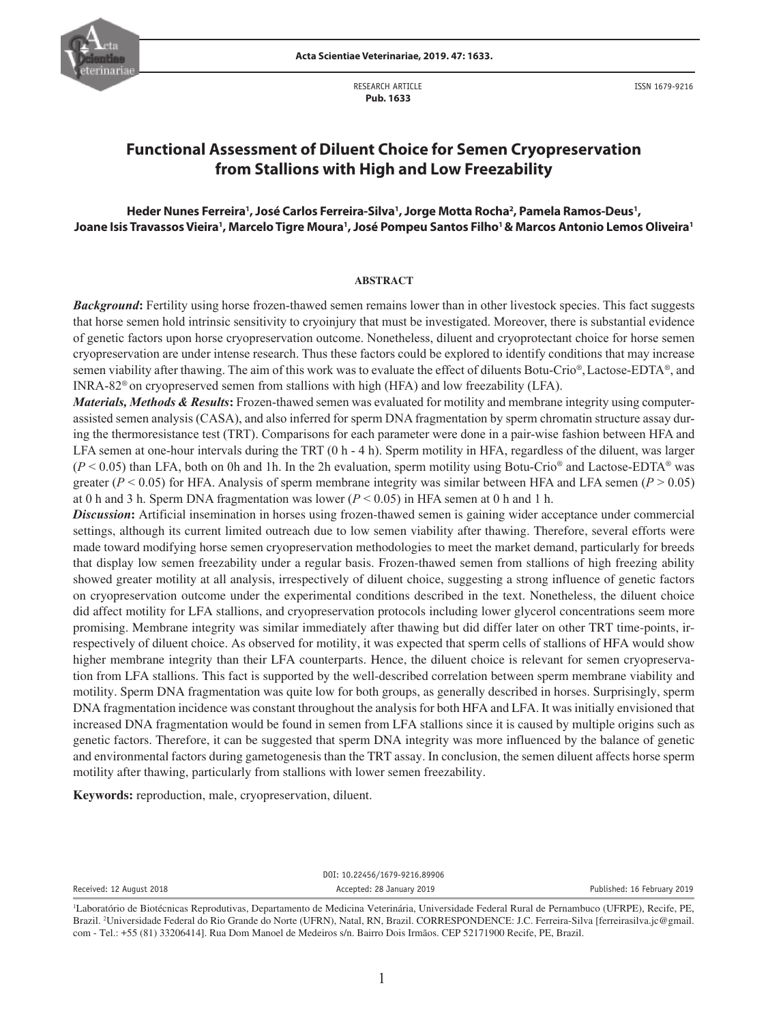

RESEARCH ARTICLE  **Pub. 1633**

# **Functional Assessment of Diluent Choice for Semen Cryopreservation from Stallions with High and Low Freezability**

# **Heder Nunes Ferreira1 , José Carlos Ferreira-Silva1 , Jorge Motta Rocha2 , Pamela Ramos-Deus1 ,**  Joane Isis Travassos Vieira', Marcelo Tigre Moura', José Pompeu Santos Filho'& Marcos Antonio Lemos Oliveira'

## **ABSTRACT**

*Background***:** Fertility using horse frozen-thawed semen remains lower than in other livestock species. This fact suggests that horse semen hold intrinsic sensitivity to cryoinjury that must be investigated. Moreover, there is substantial evidence of genetic factors upon horse cryopreservation outcome. Nonetheless, diluent and cryoprotectant choice for horse semen cryopreservation are under intense research. Thus these factors could be explored to identify conditions that may increase semen viability after thawing. The aim of this work was to evaluate the effect of diluents Botu-Crio®,Lactose-EDTA®, and INRA-82® on cryopreserved semen from stallions with high (HFA) and low freezability (LFA).

*Materials, Methods & Results***:** Frozen-thawed semen was evaluated for motility and membrane integrity using computerassisted semen analysis (CASA), and also inferred for sperm DNA fragmentation by sperm chromatin structure assay during the thermoresistance test (TRT). Comparisons for each parameter were done in a pair-wise fashion between HFA and LFA semen at one-hour intervals during the TRT (0 h - 4 h). Sperm motility in HFA, regardless of the diluent, was larger  $(P < 0.05)$  than LFA, both on 0h and 1h. In the 2h evaluation, sperm motility using Botu-Crio<sup>®</sup> and Lactose-EDTA<sup>®</sup> was greater ( $P$  < 0.05) for HFA. Analysis of sperm membrane integrity was similar between HFA and LFA semen ( $P > 0.05$ ) at 0 h and 3 h. Sperm DNA fragmentation was lower ( $P < 0.05$ ) in HFA semen at 0 h and 1 h.

*Discussion***:** Artificial insemination in horses using frozen-thawed semen is gaining wider acceptance under commercial settings, although its current limited outreach due to low semen viability after thawing. Therefore, several efforts were made toward modifying horse semen cryopreservation methodologies to meet the market demand, particularly for breeds that display low semen freezability under a regular basis. Frozen-thawed semen from stallions of high freezing ability showed greater motility at all analysis, irrespectively of diluent choice, suggesting a strong influence of genetic factors on cryopreservation outcome under the experimental conditions described in the text. Nonetheless, the diluent choice did affect motility for LFA stallions, and cryopreservation protocols including lower glycerol concentrations seem more promising. Membrane integrity was similar immediately after thawing but did differ later on other TRT time-points, irrespectively of diluent choice. As observed for motility, it was expected that sperm cells of stallions of HFA would show higher membrane integrity than their LFA counterparts. Hence, the diluent choice is relevant for semen cryopreservation from LFA stallions. This fact is supported by the well-described correlation between sperm membrane viability and motility. Sperm DNA fragmentation was quite low for both groups, as generally described in horses. Surprisingly, sperm DNA fragmentation incidence was constant throughout the analysis for both HFA and LFA. It was initially envisioned that increased DNA fragmentation would be found in semen from LFA stallions since it is caused by multiple origins such as genetic factors. Therefore, it can be suggested that sperm DNA integrity was more influenced by the balance of genetic and environmental factors during gametogenesis than the TRT assay. In conclusion, the semen diluent affects horse sperm motility after thawing, particularly from stallions with lower semen freezability.

**Keywords:** reproduction, male, cryopreservation, diluent.

DOI: 10.22456/1679-9216.89906 Received: 12 August 2018 **Accepted: 28 January 2019 Accepted: 28 January 2019 Published: 16 February 2019** 

<sup>1</sup> Laboratório de Biotécnicas Reprodutivas, Departamento de Medicina Veterinária, Universidade Federal Rural de Pernambuco (UFRPE), Recife, PE, Brazil. 2 Universidade Federal do Rio Grande do Norte (UFRN), Natal, RN, Brazil. CORRESPONDENCE: J.C. Ferreira-Silva [ferreirasilva.jc@gmail. com - Tel.: +55 (81) 33206414]. Rua Dom Manoel de Medeiros s/n. Bairro Dois Irmãos. CEP 52171900 Recife, PE, Brazil.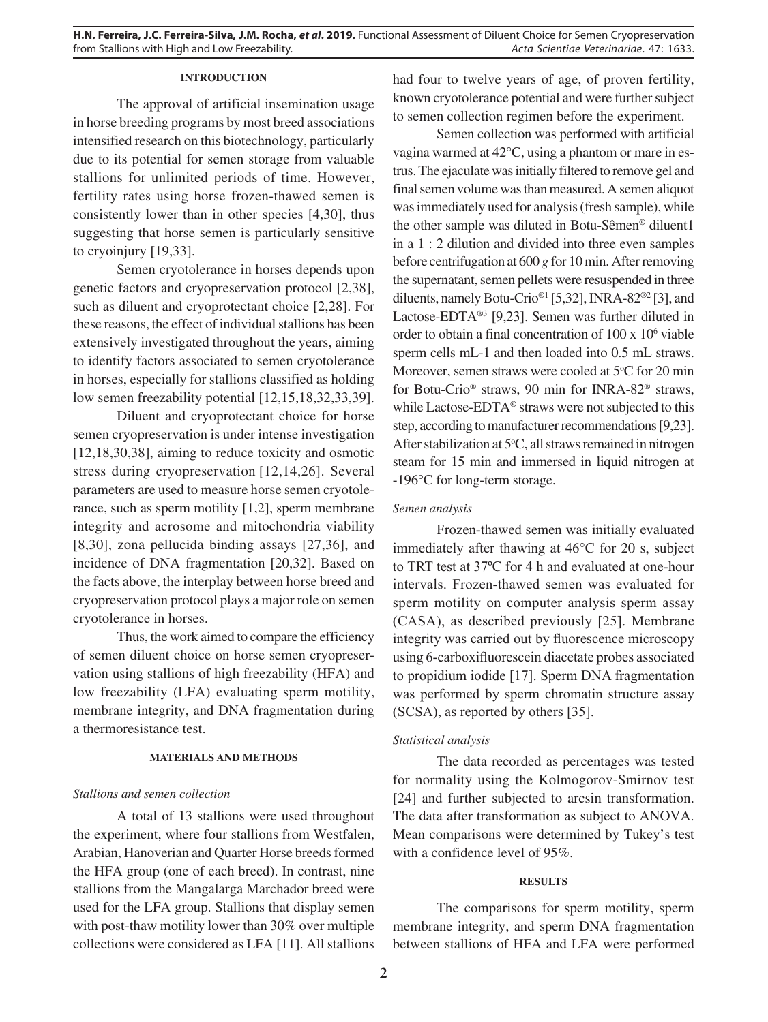## **INTRODUCTION**

The approval of artificial insemination usage in horse breeding programs by most breed associations intensified research on this biotechnology, particularly due to its potential for semen storage from valuable stallions for unlimited periods of time. However, fertility rates using horse frozen-thawed semen is consistently lower than in other species [4,30], thus suggesting that horse semen is particularly sensitive to cryoinjury [19,33].

Semen cryotolerance in horses depends upon genetic factors and cryopreservation protocol [2,38], such as diluent and cryoprotectant choice [2,28]. For these reasons, the effect of individual stallions has been extensively investigated throughout the years, aiming to identify factors associated to semen cryotolerance in horses, especially for stallions classified as holding low semen freezability potential [12,15,18,32,33,39].

Diluent and cryoprotectant choice for horse semen cryopreservation is under intense investigation [12,18,30,38], aiming to reduce toxicity and osmotic stress during cryopreservation [12,14,26]. Several parameters are used to measure horse semen cryotolerance, such as sperm motility [1,2], sperm membrane integrity and acrosome and mitochondria viability [8,30], zona pellucida binding assays [27,36], and incidence of DNA fragmentation [20,32]. Based on the facts above, the interplay between horse breed and cryopreservation protocol plays a major role on semen cryotolerance in horses.

Thus, the work aimed to compare the efficiency of semen diluent choice on horse semen cryopreservation using stallions of high freezability (HFA) and low freezability (LFA) evaluating sperm motility, membrane integrity, and DNA fragmentation during a thermoresistance test.

#### **MATERIALS AND METHODS**

#### *Stallions and semen collection*

A total of 13 stallions were used throughout the experiment, where four stallions from Westfalen, Arabian, Hanoverian and Quarter Horse breeds formed the HFA group (one of each breed). In contrast, nine stallions from the Mangalarga Marchador breed were used for the LFA group. Stallions that display semen with post-thaw motility lower than 30% over multiple collections were considered as LFA [11]. All stallions

had four to twelve years of age, of proven fertility, known cryotolerance potential and were further subject to semen collection regimen before the experiment.

Semen collection was performed with artificial vagina warmed at 42°C, using a phantom or mare in estrus. The ejaculate was initially filtered to remove gel and final semen volume was than measured. A semen aliquot was immediately used for analysis (fresh sample), while the other sample was diluted in Botu-Sêmen® diluent1 in a 1 : 2 dilution and divided into three even samples before centrifugation at 600 *g* for 10 min. After removing the supernatant, semen pellets were resuspended in three diluents, namely Botu-Crio®1 [5,32], INRA-82®2 [3], and Lactose-EDTA®3 [9,23]. Semen was further diluted in order to obtain a final concentration of 100 x 10<sup>6</sup> viable sperm cells mL-1 and then loaded into 0.5 mL straws. Moreover, semen straws were cooled at 5°C for 20 min for Botu-Crio® straws, 90 min for INRA-82® straws, while Lactose-EDTA® straws were not subjected to this step, according to manufacturer recommendations [9,23]. After stabilization at 5°C, all straws remained in nitrogen steam for 15 min and immersed in liquid nitrogen at -196°C for long-term storage.

## *Semen analysis*

Frozen-thawed semen was initially evaluated immediately after thawing at 46°C for 20 s, subject to TRT test at 37ºC for 4 h and evaluated at one-hour intervals. Frozen-thawed semen was evaluated for sperm motility on computer analysis sperm assay (CASA), as described previously [25]. Membrane integrity was carried out by fluorescence microscopy using 6-carboxifluorescein diacetate probes associated to propidium iodide [17]. Sperm DNA fragmentation was performed by sperm chromatin structure assay (SCSA), as reported by others [35].

# *Statistical analysis*

The data recorded as percentages was tested for normality using the Kolmogorov-Smirnov test [24] and further subjected to arcsin transformation. The data after transformation as subject to ANOVA. Mean comparisons were determined by Tukey's test with a confidence level of 95%.

#### **RESULTS**

The comparisons for sperm motility, sperm membrane integrity, and sperm DNA fragmentation between stallions of HFA and LFA were performed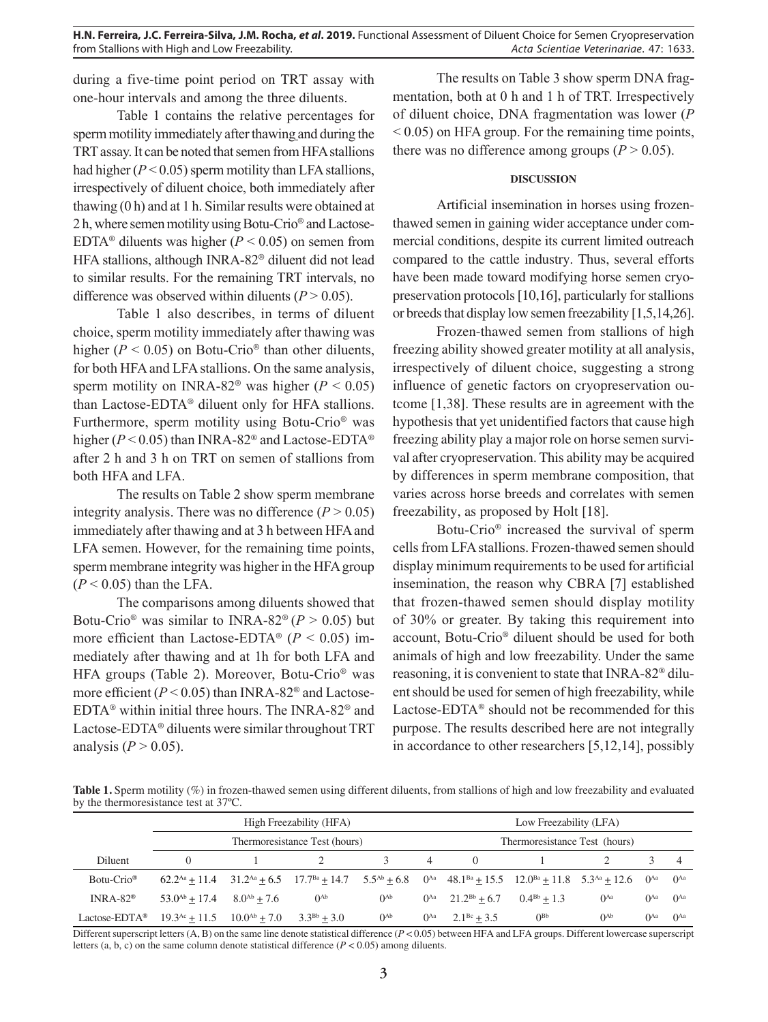during a five-time point period on TRT assay with one-hour intervals and among the three diluents.

Table 1 contains the relative percentages for sperm motility immediately after thawing and during the TRT assay. It can be noted that semen from HFA stallions had higher  $(P < 0.05)$  sperm motility than LFA stallions, irrespectively of diluent choice, both immediately after thawing (0 h) and at 1 h. Similar results were obtained at 2 h, where semen motility using Botu-Crio® and Lactose-EDTA<sup>®</sup> diluents was higher ( $P < 0.05$ ) on semen from HFA stallions, although INRA-82® diluent did not lead to similar results. For the remaining TRT intervals, no difference was observed within diluents  $(P > 0.05)$ .

Table 1 also describes, in terms of diluent choice, sperm motility immediately after thawing was higher ( $P < 0.05$ ) on Botu-Crio<sup>®</sup> than other diluents, for both HFA and LFA stallions. On the same analysis, sperm motility on INRA-82<sup>®</sup> was higher ( $P < 0.05$ ) than Lactose-EDTA® diluent only for HFA stallions. Furthermore, sperm motility using Botu-Crio® was higher ( $P < 0.05$ ) than INRA-82<sup>®</sup> and Lactose-EDTA<sup>®</sup> after 2 h and 3 h on TRT on semen of stallions from both HFA and LFA.

The results on Table 2 show sperm membrane integrity analysis. There was no difference  $(P > 0.05)$ immediately after thawing and at 3 h between HFA and LFA semen. However, for the remaining time points, sperm membrane integrity was higher in the HFA group  $(P < 0.05)$  than the LFA.

The comparisons among diluents showed that Botu-Crio<sup>®</sup> was similar to INRA-82<sup>®</sup> ( $P > 0.05$ ) but more efficient than Lactose-EDTA<sup>®</sup> ( $P < 0.05$ ) immediately after thawing and at 1h for both LFA and HFA groups (Table 2). Moreover, Botu-Crio® was more efficient  $(P < 0.05)$  than INRA-82<sup>®</sup> and Lactose-EDTA® within initial three hours. The INRA-82® and Lactose-EDTA® diluents were similar throughout TRT analysis  $(P > 0.05)$ .

The results on Table 3 show sperm DNA fragmentation, both at 0 h and 1 h of TRT. Irrespectively of diluent choice, DNA fragmentation was lower (*P*  $< 0.05$ ) on HFA group. For the remaining time points, there was no difference among groups  $(P > 0.05)$ .

# **DISCUSSION**

Artificial insemination in horses using frozenthawed semen in gaining wider acceptance under commercial conditions, despite its current limited outreach compared to the cattle industry. Thus, several efforts have been made toward modifying horse semen cryopreservation protocols [10,16], particularly for stallions or breeds that display low semen freezability [1,5,14,26].

Frozen-thawed semen from stallions of high freezing ability showed greater motility at all analysis, irrespectively of diluent choice, suggesting a strong influence of genetic factors on cryopreservation outcome [1,38]. These results are in agreement with the hypothesis that yet unidentified factors that cause high freezing ability play a major role on horse semen survival after cryopreservation. This ability may be acquired by differences in sperm membrane composition, that varies across horse breeds and correlates with semen freezability, as proposed by Holt [18].

Botu-Crio® increased the survival of sperm cells from LFA stallions. Frozen-thawed semen should display minimum requirements to be used for artificial insemination, the reason why CBRA [7] established that frozen-thawed semen should display motility of 30% or greater. By taking this requirement into account, Botu-Crio® diluent should be used for both animals of high and low freezability. Under the same reasoning, it is convenient to state that INRA-82® diluent should be used for semen of high freezability, while Lactose-EDTA® should not be recommended for this purpose. The results described here are not integrally in accordance to other researchers [5,12,14], possibly

**Table 1.** Sperm motility (%) in frozen-thawed semen using different diluents, from stallions of high and low freezability and evaluated by the thermoresistance test at 37ºC.

|                           |                                                       | High Freezability (HFA)                                                                                                                                     |          |                               | Low Freezability (LFA)                      |          |                        |                        |          |
|---------------------------|-------------------------------------------------------|-------------------------------------------------------------------------------------------------------------------------------------------------------------|----------|-------------------------------|---------------------------------------------|----------|------------------------|------------------------|----------|
|                           |                                                       | Thermoresistance Test (hours)                                                                                                                               |          | Thermoresistance Test (hours) |                                             |          |                        |                        |          |
| <b>Diluent</b>            |                                                       |                                                                                                                                                             |          | 4                             | $\left( \right)$                            |          |                        |                        |          |
| $Botu-Crio^{\circledR}$   |                                                       | $62.2^{Aa} + 11.4$ $31.2^{Aa} + 6.5$ $17.7^{Ba} + 14.7$ $5.5^{Ab} + 6.8$ $0^{Aa}$ $48.1^{Ba} + 15.5$ $12.0^{Ba} + 11.8$ $5.3^{Aa} + 12.6$ $0^{Aa}$ $0^{Aa}$ |          |                               |                                             |          |                        |                        |          |
| INRA-82 <sup>®</sup>      | $53.0^{Ab} + 17.4$ $8.0^{Ab} + 7.6$                   | $0^{\text{Ab}}$                                                                                                                                             | $0^{Ab}$ |                               | $0^{Aa}$ $21.2^{Bb} + 6.7$ $0.4^{Bb} + 1.3$ |          | $\theta$ <sup>Aa</sup> | $\theta$ <sup>Aa</sup> | $0^{Aa}$ |
| Lactose-EDTA <sup>®</sup> | $19.3^{Ac} + 11.5$ $10.0^{Ab} + 7.0$ $3.3^{Bb} + 3.0$ |                                                                                                                                                             | $0^{Ab}$ | $0^{Aa}$                      | $2.1^{Bc} + 3.5$                            | $0^{Bb}$ | $0^{Ab}$               | $\theta$ <sup>Aa</sup> | $0^{Aa}$ |

Different superscript letters (A, B) on the same line denote statistical difference (*P* < 0.05) between HFA and LFA groups. Different lowercase superscript letters (a, b, c) on the same column denote statistical difference ( $P < 0.05$ ) among diluents.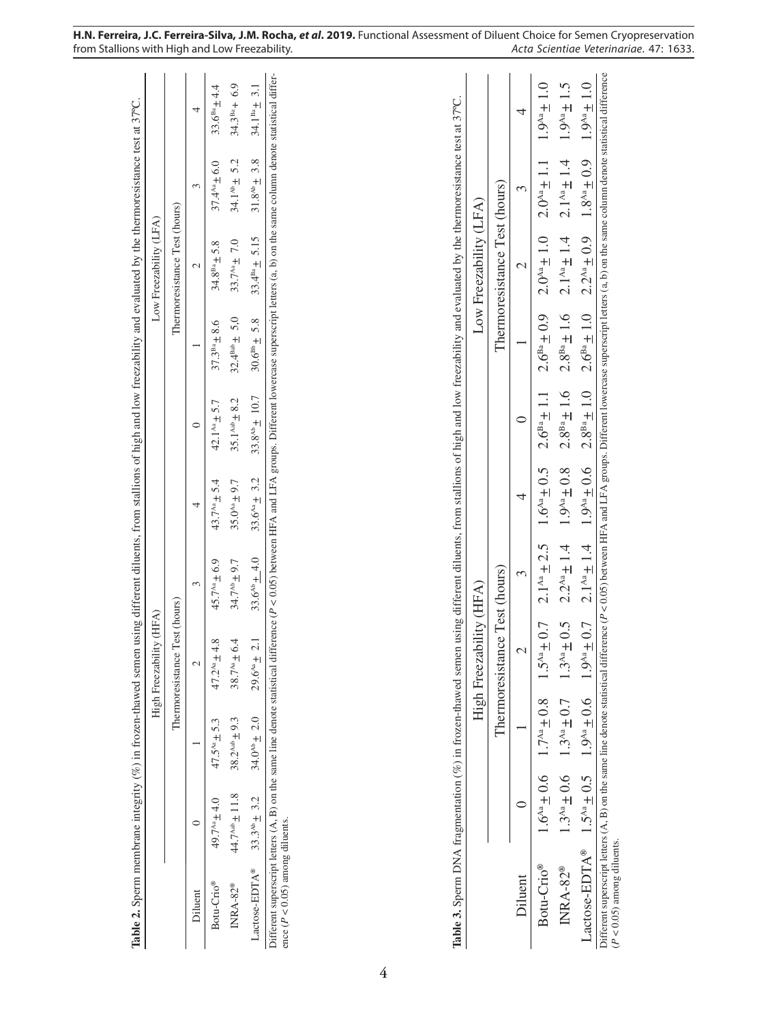| Table 2. Sperm membrane integrity (%) in frozen-thawed semen using different diluents, from stallions of high and low freezability and evaluated by the thermoresistance test at 37°C.                                                                         |                            |                                                | High Freezability (HFA)          |                    |                     |                          |                      | Low Freezability (LFA)        |                     |                      |
|----------------------------------------------------------------------------------------------------------------------------------------------------------------------------------------------------------------------------------------------------------------|----------------------------|------------------------------------------------|----------------------------------|--------------------|---------------------|--------------------------|----------------------|-------------------------------|---------------------|----------------------|
|                                                                                                                                                                                                                                                                |                            |                                                | Test (hours)<br>Thermoresistance |                    |                     |                          |                      | Thermoresistance Test (hours) |                     |                      |
| Diluent                                                                                                                                                                                                                                                        | $\subset$                  |                                                | $\mathcal{L}$                    | 3                  | 4                   | $\circ$                  |                      | $\mathcal{C}$                 | 3                   | 4                    |
| Botu-Crio®                                                                                                                                                                                                                                                     | $49.7^{Aa} + 4.0$          | $47.5^{Aa} \pm 5.3$                            | $47.2^{Aa}$ + 4.8                | $45.7^{Aa} + 6.9$  | $43.7^{4a} + 5.4$   | 42.1 <sup>Aa</sup> + 5.7 | $37.3^{Ba} + 8.6$    | $34.8^{Ba} + 5.8$             | $37.4^{Aa} \pm 6.0$ | $33.6^{Ba} + 4.4$    |
| INRA-82®                                                                                                                                                                                                                                                       | $44.7^{\text{Aab}} + 11.8$ | $38.2^{Aab} + 9.3$                             | 38.7 <sup>Aa</sup> ± 6.4         | $34.7^{44} + 9.7$  | $35.0^{4a} \pm 9.7$ | $35.1^{Aab} + 8.2$       | $32.4^{Bab} \pm 5.0$ | 33.7 $^{44}$ + 7.0            | $34.1^{40} + 5.2$   | $34.3^{Ba} + 6.9$    |
| Lactose-EDTA®                                                                                                                                                                                                                                                  | $33.3^{Ab} \pm 3.2$        | $34.0^{Ab} + 2.0$                              | 2.1<br>$29.6^{Aa} +$             | $33.6^{Ab} + 4.0$  | $33.6^{Aa} + 3.2$   | $33.8^{Ab} + 10.7$       | $30.6^{Bb} \pm 5.8$  | $33.4^{Ba} \pm 5.15$          | $31.8^{Ab} \pm 3.8$ | 3.1<br>$34.1^{Ba} +$ |
|                                                                                                                                                                                                                                                                |                            |                                                |                                  |                    |                     |                          |                      |                               |                     |                      |
| Table 3. Sperm DNA fragmentation (%) in frozen-thawed semen using different diluents, from stallions of high and low freezability and evaluated by the thermoresistance test at 37°C.                                                                          |                            |                                                |                                  |                    |                     |                          |                      |                               |                     |                      |
|                                                                                                                                                                                                                                                                |                            |                                                | High Freezability (HFA)          |                    |                     |                          |                      | Low Freezability (LFA)        |                     |                      |
|                                                                                                                                                                                                                                                                |                            |                                                | Thermoresistance Test (hours)    |                    |                     |                          |                      | Thermoresistance Test (hours) |                     |                      |
| Diluent                                                                                                                                                                                                                                                        | ⊂                          |                                                |                                  | 3                  | 4                   | ⊂                        |                      | $\mathcal{C}$                 | 3                   | 4                    |
| Botu-Crio <sup>®</sup>                                                                                                                                                                                                                                         | $1.6^{4a} \pm 0.6$         | $1.7^{Aa} \pm 0.8$                             | $1.5^{Aa} \pm 0.7$               | $2.1^{Aa} \pm 2.5$ | $1.6^{4a} \pm 0.5$  | $2.6^{Ba} + 1.1$         | $2.6^{Ba} \pm 0.9$   | $2.0^{4a} \pm 1.0$            | $2.0^{4a} \pm 1.1$  | $1.9^{4a} \pm 1.0$   |
| INRA-82®                                                                                                                                                                                                                                                       |                            | $1.3^{4a} \pm 0.6$ 1.3 <sup>44</sup> $\pm 0.7$ | $1.3^{Aa} \pm 0.5$               | $2.2^{Aa} + 1.4$   | $1.9^{4a} + 0.8$    | $2.8^{Ba} \pm 1.6$       | $2.8^{Ba} \pm 1.6$   | $2.1^{Aa} + 1.4$              | $2.1^{Aa} + 1.4$    | $1.9^{Aa}$ + 1.5     |
| Lactose-EDTA <sup>®</sup> 1.5 <sup>Aa</sup> ± 0.5 1.9 <sup>Aa</sup> ± 0.6                                                                                                                                                                                      |                            |                                                | $1.9^{4a} \pm 0.7$               | $2.1^{Aa} \pm 1.4$ | $1.9^{Aa} + 0.6$    | $2.8^{Ba}$ + 1.0         | $2.6^{Ba} + 1.0$     | $2.2^{Aa} + 0.9$              | $1.8^{Aa} + 0.9$    | $1.9^{4a} + 1.0$     |
| Different superscript letters (A, B) on the same line denote statistical difference ( $P < 0.05$ ) between HFA and LFA groups. Different lowercase superscript letters (a, b) on the same column denote statistical difference<br>$(P < 0.05)$ among diluents. |                            |                                                |                                  |                    |                     |                          |                      |                               |                     |                      |

**H.N. Ferreira, J.C. Ferreira-Silva, J.M. Rocha,** *et al.* **2019.** Functional Assessment of Diluent Choice for Semen Cryopreservation from Stallions with High and Low Freezability. *Acta Scientiae Veterinariae. 47*: 1633. from Stallions with High and Low Freezability.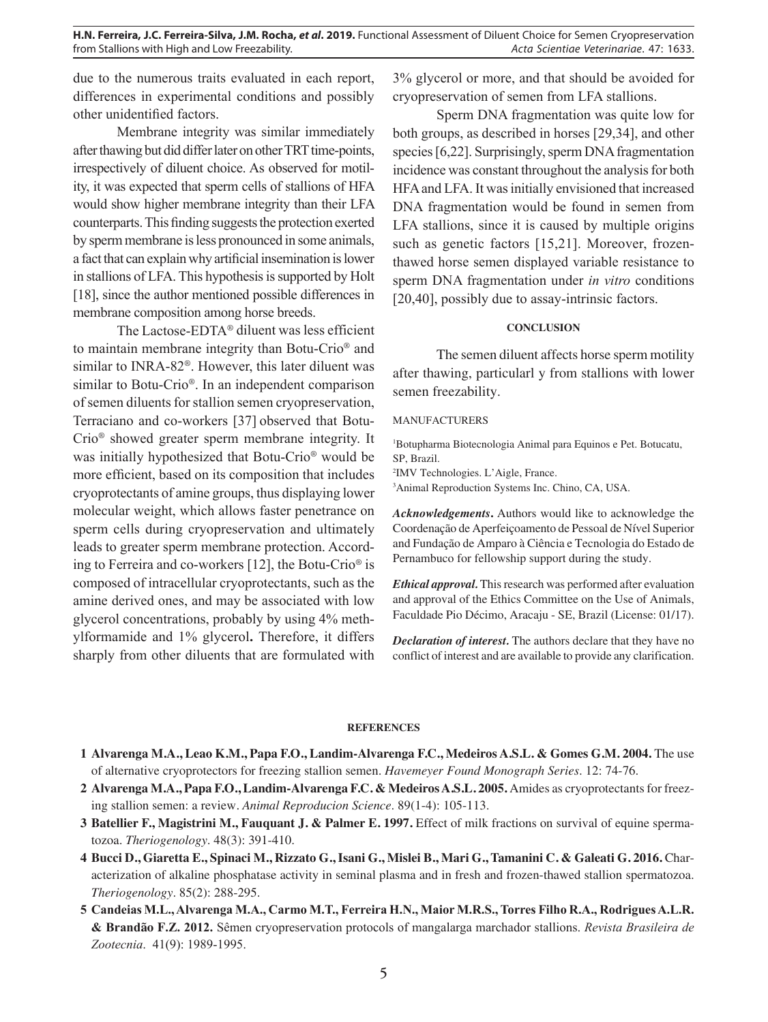due to the numerous traits evaluated in each report, differences in experimental conditions and possibly other unidentified factors.

Membrane integrity was similar immediately after thawing but did differ later on other TRT time-points, irrespectively of diluent choice. As observed for motility, it was expected that sperm cells of stallions of HFA would show higher membrane integrity than their LFA counterparts. This finding suggests the protection exerted by sperm membrane is less pronounced in some animals, a fact that can explain why artificial insemination is lower in stallions of LFA. This hypothesis is supported by Holt [18], since the author mentioned possible differences in membrane composition among horse breeds.

The Lactose-EDTA® diluent was less efficient to maintain membrane integrity than Botu-Crio® and similar to INRA-82®. However, this later diluent was similar to Botu-Crio®. In an independent comparison of semen diluents for stallion semen cryopreservation, Terraciano and co-workers [37] observed that Botu-Crio® showed greater sperm membrane integrity. It was initially hypothesized that Botu-Crio® would be more efficient, based on its composition that includes cryoprotectants of amine groups, thus displaying lower molecular weight, which allows faster penetrance on sperm cells during cryopreservation and ultimately leads to greater sperm membrane protection. According to Ferreira and co-workers [12], the Botu-Crio® is composed of intracellular cryoprotectants, such as the amine derived ones, and may be associated with low glycerol concentrations, probably by using 4% methylformamide and 1% glycerol**.** Therefore, it differs sharply from other diluents that are formulated with

3% glycerol or more, and that should be avoided for cryopreservation of semen from LFA stallions.

Sperm DNA fragmentation was quite low for both groups, as described in horses [29,34], and other species [6,22]. Surprisingly, sperm DNA fragmentation incidence was constant throughout the analysis for both HFA and LFA. It was initially envisioned that increased DNA fragmentation would be found in semen from LFA stallions, since it is caused by multiple origins such as genetic factors [15,21]. Moreover, frozenthawed horse semen displayed variable resistance to sperm DNA fragmentation under *in vitro* conditions [20,40], possibly due to assay-intrinsic factors.

## **CONCLUSION**

The semen diluent affects horse sperm motility after thawing, particularl y from stallions with lower semen freezability.

#### MANUFACTURERS

1 Botupharma Biotecnologia Animal para Equinos e Pet. Botucatu, SP, Brazil.

2 IMV Technologies. L'Aigle, France.

3 Animal Reproduction Systems Inc. Chino, CA, USA.

*Acknowledgements***.** Authors would like to acknowledge the Coordenação de Aperfeiçoamento de Pessoal de Nível Superior and Fundação de Amparo à Ciência e Tecnologia do Estado de Pernambuco for fellowship support during the study.

*Ethical approval.* This research was performed after evaluation and approval of the Ethics Committee on the Use of Animals, Faculdade Pio Décimo, Aracaju - SE, Brazil (License: 01/17).

*Declaration of interest.* The authors declare that they have no conflict of interest and are available to provide any clarification.

#### **REFERENCES**

- **1 Alvarenga M.A., Leao K.M., Papa F.O., Landim-Alvarenga F.C., Medeiros A.S.L. & Gomes G.M. 2004.** The use of alternative cryoprotectors for freezing stallion semen. *Havemeyer Found Monograph Series*. 12: 74-76.
- **2 Alvarenga M.A., Papa F.O., Landim-Alvarenga F.C. & Medeiros A.S.L. 2005.** Amides as cryoprotectants for freezing stallion semen: a review*. Animal Reproducion Science*. 89(1-4): 105-113.
- **3 Batellier F., Magistrini M., Fauquant J. & Palmer E. 1997.** Effect of milk fractions on survival of equine spermatozoa. *Theriogenology*. 48(3): 391-410.
- **4 Bucci D., Giaretta E., Spinaci M., Rizzato G., Isani G., Mislei B., Mari G., Tamanini C. & Galeati G. 2016.** Characterization of alkaline phosphatase activity in seminal plasma and in fresh and frozen-thawed stallion spermatozoa. *Theriogenology*. 85(2): 288-295.
- **5 Candeias M.L., Alvarenga M.A., Carmo M.T., Ferreira H.N., Maior M.R.S., Torres Filho R.A., Rodrigues A.L.R. & Brandão F.Z. 2012.** Sêmen cryopreservation protocols of mangalarga marchador stallions. *Revista Brasileira de Zootecnia*. 41(9): 1989-1995.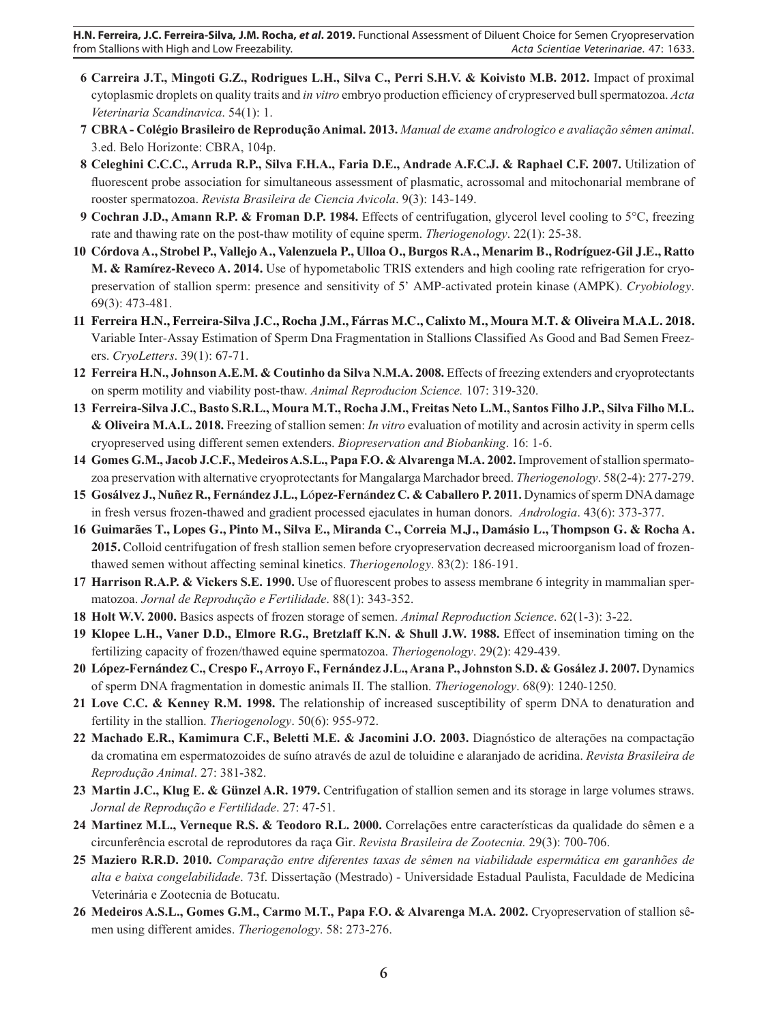- **6 Carreira J.T., Mingoti G.Z., Rodrigues L.H., Silva C., Perri S.H.V. & Koivisto M.B. 2012.** Impact of proximal cytoplasmic droplets on quality traits and *in vitro* embryo production efficiency of crypreserved bull spermatozoa. *Acta Veterinaria Scandinavica*. 54(1): 1.
- **7 CBRA Colégio Brasileiro de Reprodução Animal. 2013.** *Manual de exame andrologico e avaliação sêmen animal*. 3.ed. Belo Horizonte: CBRA, 104p.
- **8 Celeghini C.C.C., Arruda R.P., Silva F.H.A., Faria D.E., Andrade A.F.C.J. & Raphael C.F. 2007.** Utilization of fluorescent probe association for simultaneous assessment of plasmatic, acrossomal and mitochonarial membrane of rooster spermatozoa. *Revista Brasileira de Ciencia Avicola*. 9(3): 143-149.
- **9 Cochran J.D., Amann R.P. & Froman D.P. 1984.** Effects of centrifugation, glycerol level cooling to 5°C, freezing rate and thawing rate on the post-thaw motility of equine sperm. *Theriogenology*. 22(1): 25-38.
- **10 Córdova A., Strobel P., Vallejo A., Valenzuela P., Ulloa O., Burgos R.A., Menarim B., Rodríguez-Gil J.E., Ratto M. & Ramírez-Reveco A. 2014.** Use of hypometabolic TRIS extenders and high cooling rate refrigeration for cryopreservation of stallion sperm: presence and sensitivity of 5' AMP-activated protein kinase (AMPK). *Cryobiology*. 69(3): 473-481.
- **11 Ferreira H.N., Ferreira-Silva J.C., Rocha J.M., Fárras M.C., Calixto M., Moura M.T. & Oliveira M.A.L. 2018.** Variable Inter-Assay Estimation of Sperm Dna Fragmentation in Stallions Classified As Good and Bad Semen Freezers. *CryoLetters*. 39(1): 67-71.
- **12 Ferreira H.N., Johnson A.E.M. & Coutinho da Silva N.M.A. 2008.** Effects of freezing extenders and cryoprotectants on sperm motility and viability post-thaw. *Animal Reproducion Science.* 107: 319-320.
- **13 Ferreira-Silva J.C., Basto S.R.L., Moura M.T., Rocha J.M., Freitas Neto L.M., Santos Filho J.P., Silva Filho M.L. & Oliveira M.A.L. 2018.** Freezing of stallion semen: *In vitro* evaluation of motility and acrosin activity in sperm cells cryopreserved using different semen extenders. *Biopreservation and Biobanking*. 16: 1-6.
- **14 Gomes G.M., Jacob J.C.F., Medeiros A.S.L., Papa F.O. & Alvarenga M.A. 2002.** Improvement of stallion spermatozoa preservation with alternative cryoprotectants for Mangalarga Marchador breed. *Theriogenology*. 58(2-4): 277-279.
- **15 Gosálvez J., Nuñez R., Fern**á**ndez J.L., L**ó**pez-Fern**á**ndez C. & Caballero P. 2011.** Dynamics of sperm DNA damage in fresh versus frozen-thawed and gradient processed ejaculates in human donors. *Andrologia*. 43(6): 373-377.
- **16 Guimarães T., Lopes G., Pinto M., Silva E., Miranda C., Correia M.J., Damásio L., Thompson G. & Rocha A. 2015.** Colloid centrifugation of fresh stallion semen before cryopreservation decreased microorganism load of frozenthawed semen without affecting seminal kinetics. *Theriogenology*. 83(2): 186-191.
- **17 Harrison R.A.P. & Vickers S.E. 1990.** Use of fluorescent probes to assess membrane 6 integrity in mammalian spermatozoa. *Jornal de Reprodução e Fertilidade*. 88(1): 343-352.
- **18 Holt W.V. 2000.** Basics aspects of frozen storage of semen. *Animal Reproduction Science*. 62(1-3): 3-22.
- **19 Klopee L.H., Vaner D.D., Elmore R.G., Bretzlaff K.N. & Shull J.W. 1988.** Effect of insemination timing on the fertilizing capacity of frozen/thawed equine spermatozoa. *Theriogenology*. 29(2): 429-439.
- **20 López-Fernández C., Crespo F., Arroyo F., Fernández J.L., Arana P., Johnston S.D. & Gosález J. 2007.** Dynamics of sperm DNA fragmentation in domestic animals II. The stallion. *Theriogenology*. 68(9): 1240-1250.
- **21 Love C.C. & Kenney R.M. 1998.** The relationship of increased susceptibility of sperm DNA to denaturation and fertility in the stallion. *Theriogenology*. 50(6): 955-972.
- **22 Machado E.R., Kamimura C.F., Beletti M.E. & Jacomini J.O. 2003.** Diagnóstico de alterações na compactação da cromatina em espermatozoides de suíno através de azul de toluidine e alaranjado de acridina. *Revista Brasileira de Reprodução Animal*. 27: 381-382.
- **23 Martin J.C., Klug E. & Günzel A.R. 1979.** Centrifugation of stallion semen and its storage in large volumes straws. *Jornal de Reprodução e Fertilidade*. 27: 47-51.
- **24 Martinez M.L., Verneque R.S. & Teodoro R.L. 2000.** Correlações entre características da qualidade do sêmen e a circunferência escrotal de reprodutores da raça Gir. *Revista Brasileira de Zootecnia.* 29(3): 700-706.
- **25 Maziero R.R.D. 2010.** *Comparação entre diferentes taxas de sêmen na viabilidade espermática em garanhões de alta e baixa congelabilidade*. 73f. Dissertação (Mestrado) - Universidade Estadual Paulista, Faculdade de Medicina Veterinária e Zootecnia de Botucatu.
- **26 Medeiros A.S.L., Gomes G.M., Carmo M.T., Papa F.O. & Alvarenga M.A. 2002.** Cryopreservation of stallion sêmen using different amides. *Theriogenology*. 58: 273-276.